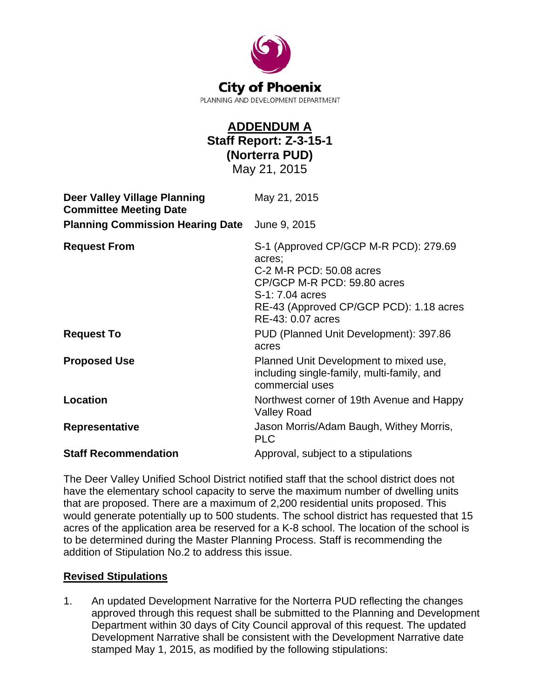

## **ADDENDUM A Staff Report: Z-3-15-1 (Norterra PUD)**  May 21, 2015

| <b>Deer Valley Village Planning</b><br><b>Committee Meeting Date</b> | May 21, 2015                                                                                                                                                                                  |
|----------------------------------------------------------------------|-----------------------------------------------------------------------------------------------------------------------------------------------------------------------------------------------|
| <b>Planning Commission Hearing Date</b>                              | June 9, 2015                                                                                                                                                                                  |
| <b>Request From</b>                                                  | S-1 (Approved CP/GCP M-R PCD): 279.69<br>acres;<br>C-2 M-R PCD: 50.08 acres<br>CP/GCP M-R PCD: 59.80 acres<br>S-1: 7.04 acres<br>RE-43 (Approved CP/GCP PCD): 1.18 acres<br>RE-43: 0.07 acres |
| <b>Request To</b>                                                    | PUD (Planned Unit Development): 397.86<br>acres                                                                                                                                               |
| <b>Proposed Use</b>                                                  | Planned Unit Development to mixed use,<br>including single-family, multi-family, and<br>commercial uses                                                                                       |
| <b>Location</b>                                                      | Northwest corner of 19th Avenue and Happy<br><b>Valley Road</b>                                                                                                                               |
| <b>Representative</b>                                                | Jason Morris/Adam Baugh, Withey Morris,<br><b>PLC</b>                                                                                                                                         |
| <b>Staff Recommendation</b>                                          | Approval, subject to a stipulations                                                                                                                                                           |

The Deer Valley Unified School District notified staff that the school district does not have the elementary school capacity to serve the maximum number of dwelling units that are proposed. There are a maximum of 2,200 residential units proposed. This would generate potentially up to 500 students. The school district has requested that 15 acres of the application area be reserved for a K-8 school. The location of the school is to be determined during the Master Planning Process. Staff is recommending the addition of Stipulation No.2 to address this issue.

## **Revised Stipulations**

1. An updated Development Narrative for the Norterra PUD reflecting the changes approved through this request shall be submitted to the Planning and Development Department within 30 days of City Council approval of this request. The updated Development Narrative shall be consistent with the Development Narrative date stamped May 1, 2015, as modified by the following stipulations: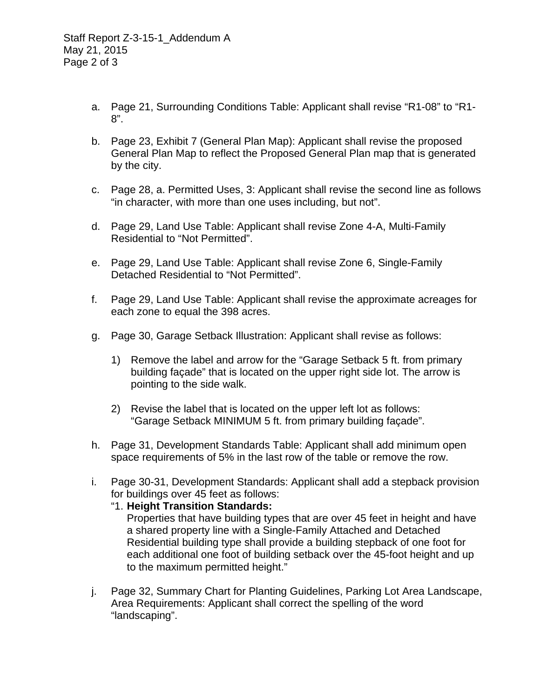- a. Page 21, Surrounding Conditions Table: Applicant shall revise "R1-08" to "R1- 8".
- b. Page 23, Exhibit 7 (General Plan Map): Applicant shall revise the proposed General Plan Map to reflect the Proposed General Plan map that is generated by the city.
- c. Page 28, a. Permitted Uses, 3: Applicant shall revise the second line as follows "in character, with more than one uses including, but not".
- d. Page 29, Land Use Table: Applicant shall revise Zone 4-A, Multi-Family Residential to "Not Permitted".
- e. Page 29, Land Use Table: Applicant shall revise Zone 6, Single-Family Detached Residential to "Not Permitted".
- f. Page 29, Land Use Table: Applicant shall revise the approximate acreages for each zone to equal the 398 acres.
- g. Page 30, Garage Setback Illustration: Applicant shall revise as follows:
	- 1) Remove the label and arrow for the "Garage Setback 5 ft. from primary building façade" that is located on the upper right side lot. The arrow is pointing to the side walk.
	- 2) Revise the label that is located on the upper left lot as follows: "Garage Setback MINIMUM 5 ft. from primary building façade".
- h. Page 31, Development Standards Table: Applicant shall add minimum open space requirements of 5% in the last row of the table or remove the row.
- i. Page 30-31, Development Standards: Applicant shall add a stepback provision for buildings over 45 feet as follows:

## "1. **Height Transition Standards:**

 Properties that have building types that are over 45 feet in height and have a shared property line with a Single-Family Attached and Detached Residential building type shall provide a building stepback of one foot for each additional one foot of building setback over the 45-foot height and up to the maximum permitted height."

j. Page 32, Summary Chart for Planting Guidelines, Parking Lot Area Landscape, Area Requirements: Applicant shall correct the spelling of the word "landscaping".